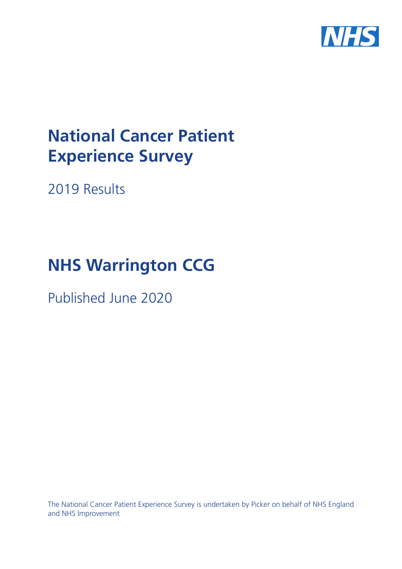

# **National Cancer Patient Experience Survey**

2019 Results

# **NHS Warrington CCG**

Published June 2020

The National Cancer Patient Experience Survey is undertaken by Picker on behalf of NHS England and NHS Improvement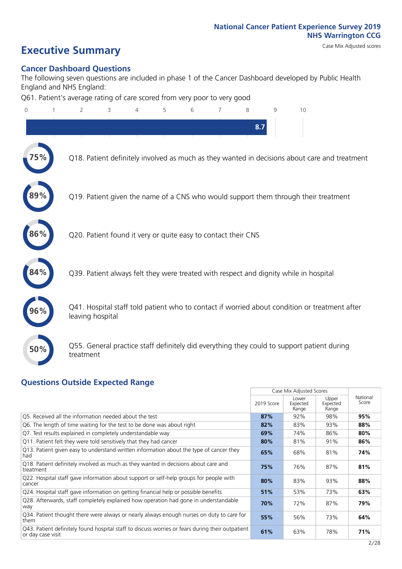### **Executive Summary** Case Mix Adjusted scores

#### **Cancer Dashboard Questions**

The following seven questions are included in phase 1 of the Cancer Dashboard developed by Public Health England and NHS England:

Q61. Patient's average rating of care scored from very poor to very good

| $\overline{0}$ | $\overline{2}$                                                | 3 | 4 | 5 | 6 | 7 | 8   | $\mathsf{Q}$ | 10                                                                                            |
|----------------|---------------------------------------------------------------|---|---|---|---|---|-----|--------------|-----------------------------------------------------------------------------------------------|
|                |                                                               |   |   |   |   |   | 8.7 |              |                                                                                               |
|                |                                                               |   |   |   |   |   |     |              | Q18. Patient definitely involved as much as they wanted in decisions about care and treatment |
|                |                                                               |   |   |   |   |   |     |              | Q19. Patient given the name of a CNS who would support them through their treatment           |
| 86%            | Q20. Patient found it very or quite easy to contact their CNS |   |   |   |   |   |     |              |                                                                                               |
| 84%            |                                                               |   |   |   |   |   |     |              | Q39. Patient always felt they were treated with respect and dignity while in hospital         |
|                | leaving hospital                                              |   |   |   |   |   |     |              | Q41. Hospital staff told patient who to contact if worried about condition or treatment after |
| 50%            | treatment                                                     |   |   |   |   |   |     |              | Q55. General practice staff definitely did everything they could to support patient during    |
|                |                                                               |   |   |   |   |   |     |              |                                                                                               |

### **Questions Outside Expected Range**

|                                                                                                                       |            | Case Mix Adjusted Scores   |                            |                   |
|-----------------------------------------------------------------------------------------------------------------------|------------|----------------------------|----------------------------|-------------------|
|                                                                                                                       | 2019 Score | Lower<br>Expected<br>Range | Upper<br>Expected<br>Range | National<br>Score |
| Q5. Received all the information needed about the test                                                                | 87%        | 92%                        | 98%                        | 95%               |
| Q6. The length of time waiting for the test to be done was about right                                                | 82%        | 83%                        | 93%                        | 88%               |
| Q7. Test results explained in completely understandable way                                                           | 69%        | 74%                        | 86%                        | 80%               |
| Q11. Patient felt they were told sensitively that they had cancer                                                     | 80%        | 81%                        | 91%                        | 86%               |
| Q13. Patient given easy to understand written information about the type of cancer they<br>had                        | 65%        | 68%                        | 81%                        | 74%               |
| Q18. Patient definitely involved as much as they wanted in decisions about care and<br>treatment                      | 75%        | 76%                        | 87%                        | 81%               |
| Q22. Hospital staff gave information about support or self-help groups for people with<br>cancer                      | 80%        | 83%                        | 93%                        | 88%               |
| Q24. Hospital staff gave information on getting financial help or possible benefits                                   | 51%        | 53%                        | 73%                        | 63%               |
| Q28. Afterwards, staff completely explained how operation had gone in understandable<br>way                           | 70%        | 72%                        | 87%                        | 79%               |
| Q34. Patient thought there were always or nearly always enough nurses on duty to care for<br>them                     | 55%        | 56%                        | 73%                        | 64%               |
| Q43. Patient definitely found hospital staff to discuss worries or fears during their outpatient<br>or day case visit | 61%        | 63%                        | 78%                        | 71%               |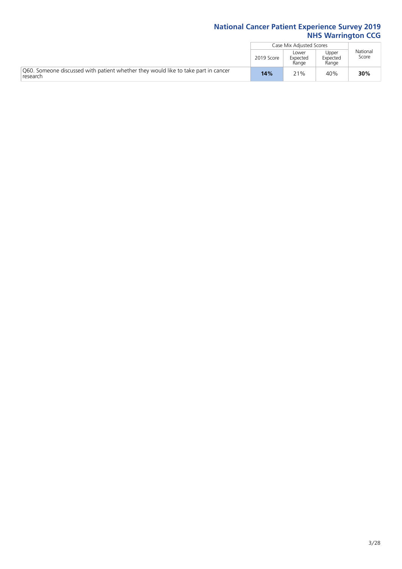|                                                                                                |            | Case Mix Adjusted Scores   |                            |                   |
|------------------------------------------------------------------------------------------------|------------|----------------------------|----------------------------|-------------------|
|                                                                                                | 2019 Score | Lower<br>Expected<br>Range | Upper<br>Expected<br>Range | National<br>Score |
| O60. Someone discussed with patient whether they would like to take part in cancer<br>research | 14%        | 21%                        | 40%                        | 30%               |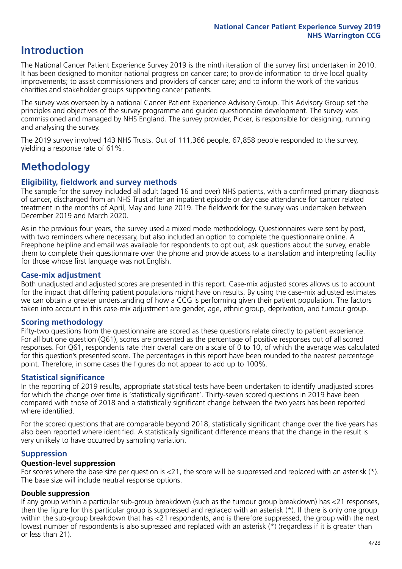### **Introduction**

The National Cancer Patient Experience Survey 2019 is the ninth iteration of the survey first undertaken in 2010. It has been designed to monitor national progress on cancer care; to provide information to drive local quality improvements; to assist commissioners and providers of cancer care; and to inform the work of the various charities and stakeholder groups supporting cancer patients.

The survey was overseen by a national Cancer Patient Experience Advisory Group. This Advisory Group set the principles and objectives of the survey programme and guided questionnaire development. The survey was commissioned and managed by NHS England. The survey provider, Picker, is responsible for designing, running and analysing the survey.

The 2019 survey involved 143 NHS Trusts. Out of 111,366 people, 67,858 people responded to the survey, yielding a response rate of 61%.

### **Methodology**

#### **Eligibility, eldwork and survey methods**

The sample for the survey included all adult (aged 16 and over) NHS patients, with a confirmed primary diagnosis of cancer, discharged from an NHS Trust after an inpatient episode or day case attendance for cancer related treatment in the months of April, May and June 2019. The fieldwork for the survey was undertaken between December 2019 and March 2020.

As in the previous four years, the survey used a mixed mode methodology. Questionnaires were sent by post, with two reminders where necessary, but also included an option to complete the questionnaire online. A Freephone helpline and email was available for respondents to opt out, ask questions about the survey, enable them to complete their questionnaire over the phone and provide access to a translation and interpreting facility for those whose first language was not English.

#### **Case-mix adjustment**

Both unadjusted and adjusted scores are presented in this report. Case-mix adjusted scores allows us to account for the impact that differing patient populations might have on results. By using the case-mix adjusted estimates we can obtain a greater understanding of how a CCG is performing given their patient population. The factors taken into account in this case-mix adjustment are gender, age, ethnic group, deprivation, and tumour group.

### **Scoring methodology**

Fifty-two questions from the questionnaire are scored as these questions relate directly to patient experience. For all but one question (Q61), scores are presented as the percentage of positive responses out of all scored responses. For Q61, respondents rate their overall care on a scale of 0 to 10, of which the average was calculated for this question's presented score. The percentages in this report have been rounded to the nearest percentage point. Therefore, in some cases the figures do not appear to add up to 100%.

#### **Statistical significance**

In the reporting of 2019 results, appropriate statistical tests have been undertaken to identify unadjusted scores for which the change over time is 'statistically significant'. Thirty-seven scored questions in 2019 have been compared with those of 2018 and a statistically significant change between the two years has been reported where identified.

For the scored questions that are comparable beyond 2018, statistically significant change over the five years has also been reported where identified. A statistically significant difference means that the change in the result is very unlikely to have occurred by sampling variation.

#### **Suppression**

#### **Question-level suppression**

For scores where the base size per question is  $<$ 21, the score will be suppressed and replaced with an asterisk (\*). The base size will include neutral response options.

#### **Double suppression**

If any group within a particular sub-group breakdown (such as the tumour group breakdown) has <21 responses, then the figure for this particular group is suppressed and replaced with an asterisk (\*). If there is only one group within the sub-group breakdown that has <21 respondents, and is therefore suppressed, the group with the next lowest number of respondents is also supressed and replaced with an asterisk (\*) (regardless if it is greater than or less than 21).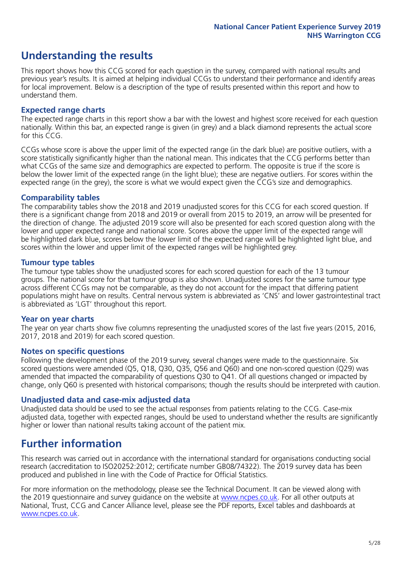### **Understanding the results**

This report shows how this CCG scored for each question in the survey, compared with national results and previous year's results. It is aimed at helping individual CCGs to understand their performance and identify areas for local improvement. Below is a description of the type of results presented within this report and how to understand them.

#### **Expected range charts**

The expected range charts in this report show a bar with the lowest and highest score received for each question nationally. Within this bar, an expected range is given (in grey) and a black diamond represents the actual score for this CCG.

CCGs whose score is above the upper limit of the expected range (in the dark blue) are positive outliers, with a score statistically significantly higher than the national mean. This indicates that the CCG performs better than what CCGs of the same size and demographics are expected to perform. The opposite is true if the score is below the lower limit of the expected range (in the light blue); these are negative outliers. For scores within the expected range (in the grey), the score is what we would expect given the CCG's size and demographics.

#### **Comparability tables**

The comparability tables show the 2018 and 2019 unadjusted scores for this CCG for each scored question. If there is a significant change from 2018 and 2019 or overall from 2015 to 2019, an arrow will be presented for the direction of change. The adjusted 2019 score will also be presented for each scored question along with the lower and upper expected range and national score. Scores above the upper limit of the expected range will be highlighted dark blue, scores below the lower limit of the expected range will be highlighted light blue, and scores within the lower and upper limit of the expected ranges will be highlighted grey.

#### **Tumour type tables**

The tumour type tables show the unadjusted scores for each scored question for each of the 13 tumour groups. The national score for that tumour group is also shown. Unadjusted scores for the same tumour type across different CCGs may not be comparable, as they do not account for the impact that differing patient populations might have on results. Central nervous system is abbreviated as 'CNS' and lower gastrointestinal tract is abbreviated as 'LGT' throughout this report.

#### **Year on year charts**

The year on year charts show five columns representing the unadjusted scores of the last five years (2015, 2016, 2017, 2018 and 2019) for each scored question.

#### **Notes on specific questions**

Following the development phase of the 2019 survey, several changes were made to the questionnaire. Six scored questions were amended (Q5, Q18, Q30, Q35, Q56 and Q60) and one non-scored question (Q29) was amended that impacted the comparability of questions Q30 to Q41. Of all questions changed or impacted by change, only Q60 is presented with historical comparisons; though the results should be interpreted with caution.

#### **Unadjusted data and case-mix adjusted data**

Unadjusted data should be used to see the actual responses from patients relating to the CCG. Case-mix adjusted data, together with expected ranges, should be used to understand whether the results are significantly higher or lower than national results taking account of the patient mix.

### **Further information**

This research was carried out in accordance with the international standard for organisations conducting social research (accreditation to ISO20252:2012; certificate number GB08/74322). The 2019 survey data has been produced and published in line with the Code of Practice for Official Statistics.

For more information on the methodology, please see the Technical Document. It can be viewed along with the 2019 questionnaire and survey quidance on the website at [www.ncpes.co.uk](https://www.ncpes.co.uk/supporting-documents). For all other outputs at National, Trust, CCG and Cancer Alliance level, please see the PDF reports, Excel tables and dashboards at [www.ncpes.co.uk.](https://www.ncpes.co.uk/current-results)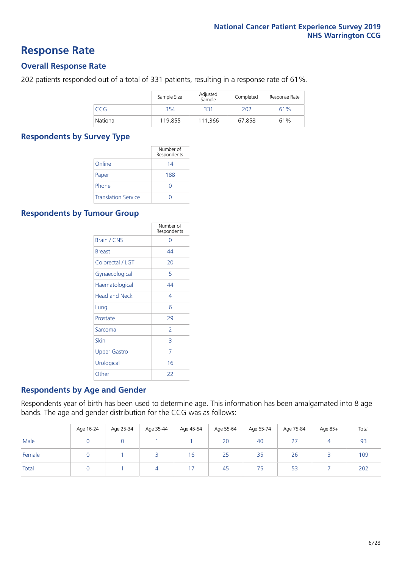### **Response Rate**

#### **Overall Response Rate**

202 patients responded out of a total of 331 patients, resulting in a response rate of 61%.

|            | Sample Size | Adjusted<br>Sample | Completed | Response Rate |
|------------|-------------|--------------------|-----------|---------------|
| <b>CCG</b> | 354         | 331                | 202       | 61%           |
| National   | 119.855     | 111,366            | 67,858    | 61%           |

#### **Respondents by Survey Type**

|                            | Number of<br>Respondents |
|----------------------------|--------------------------|
| Online                     | 14                       |
| Paper                      | 188                      |
| Phone                      | $\left( \right)$         |
| <b>Translation Service</b> |                          |

#### **Respondents by Tumour Group**

|                      | Number of<br>Respondents |
|----------------------|--------------------------|
| Brain / CNS          | ∩                        |
| <b>Breast</b>        | 44                       |
| Colorectal / LGT     | 20                       |
| Gynaecological       | 5                        |
| Haematological       | 44                       |
| <b>Head and Neck</b> | 4                        |
| Lung                 | 6                        |
| Prostate             | 29                       |
| Sarcoma              | $\mathcal{P}$            |
| Skin                 | 3                        |
| <b>Upper Gastro</b>  | 7                        |
| Urological           | 16                       |
| Other                | 22                       |

#### **Respondents by Age and Gender**

Respondents year of birth has been used to determine age. This information has been amalgamated into 8 age bands. The age and gender distribution for the CCG was as follows:

|        | Age 16-24 | Age 25-34 | Age 35-44 | Age 45-54 | Age 55-64 | Age 65-74 | Age 75-84       | Age 85+  | Total |
|--------|-----------|-----------|-----------|-----------|-----------|-----------|-----------------|----------|-------|
| Male   |           |           |           |           | 20        | 40        | $\sim$ $-$<br>2 | $\Delta$ | 93    |
| Female |           |           |           | 16        | 25        | 35        | 26              |          | 109   |
| Total  |           |           | 4         |           | 45        | 75        | 53              |          | 202   |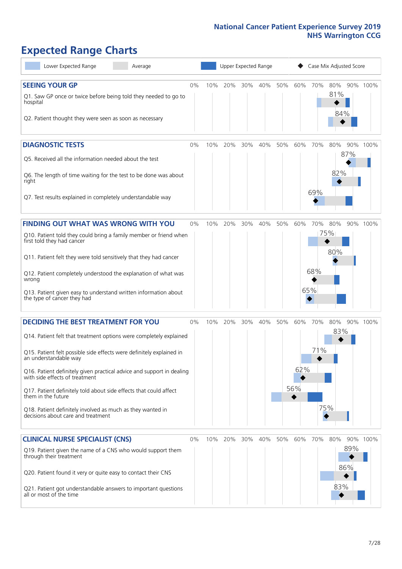### **Expected Range Charts**

| Lower Expected Range<br>Average                                                                                                                                                                                                                                                                                                                                                                                                                                                                                             |    |     | Upper Expected Range |     |     |     |                        | Case Mix Adjusted Score |                   |                   |          |
|-----------------------------------------------------------------------------------------------------------------------------------------------------------------------------------------------------------------------------------------------------------------------------------------------------------------------------------------------------------------------------------------------------------------------------------------------------------------------------------------------------------------------------|----|-----|----------------------|-----|-----|-----|------------------------|-------------------------|-------------------|-------------------|----------|
| <b>SEEING YOUR GP</b><br>Q1. Saw GP once or twice before being told they needed to go to<br>hospital<br>Q2. Patient thought they were seen as soon as necessary                                                                                                                                                                                                                                                                                                                                                             | 0% | 10% | 20%                  | 30% | 40% | 50% | 60%                    | 70%                     | 80%<br>81%<br>84% |                   | 90% 100% |
| <b>DIAGNOSTIC TESTS</b><br>Q5. Received all the information needed about the test<br>Q6. The length of time waiting for the test to be done was about<br>right<br>Q7. Test results explained in completely understandable way                                                                                                                                                                                                                                                                                               | 0% | 10% | 20%                  | 30% | 40% | 50% | 60%                    | 70%<br>69%              | 80%<br>82%        | 90%<br>87%        | 100%     |
| <b>FINDING OUT WHAT WAS WRONG WITH YOU</b><br>Q10. Patient told they could bring a family member or friend when<br>first told they had cancer<br>Q11. Patient felt they were told sensitively that they had cancer<br>Q12. Patient completely understood the explanation of what was<br>wrong<br>Q13. Patient given easy to understand written information about<br>the type of cancer they had                                                                                                                             | 0% | 10% | 20%                  | 30% | 40% | 50% | 60%                    | 70%<br>68%<br>65%       | 80%<br>75%<br>80% |                   | 90% 100% |
| <b>DECIDING THE BEST TREATMENT FOR YOU</b><br>Q14. Patient felt that treatment options were completely explained<br>Q15. Patient felt possible side effects were definitely explained in<br>an understandable way<br>Q16. Patient definitely given practical advice and support in dealing<br>with side effects of treatment<br>Q17. Patient definitely told about side effects that could affect<br>them in the future<br>Q18. Patient definitely involved as much as they wanted in<br>decisions about care and treatment | 0% | 10% | 20%                  | 30% | 40% | 50% | 60%<br>62%<br>56%<br>◆ | 70%<br>71%<br>75%       | 80%<br>83%        |                   | 90% 100% |
| <b>CLINICAL NURSE SPECIALIST (CNS)</b><br>Q19. Patient given the name of a CNS who would support them<br>through their treatment<br>Q20. Patient found it very or quite easy to contact their CNS<br>Q21. Patient got understandable answers to important questions<br>all or most of the time                                                                                                                                                                                                                              | 0% | 10% | 20%                  | 30% | 40% | 50% | 60%                    | 70%                     | 80%<br>83%        | 90%<br>89%<br>86% | 100%     |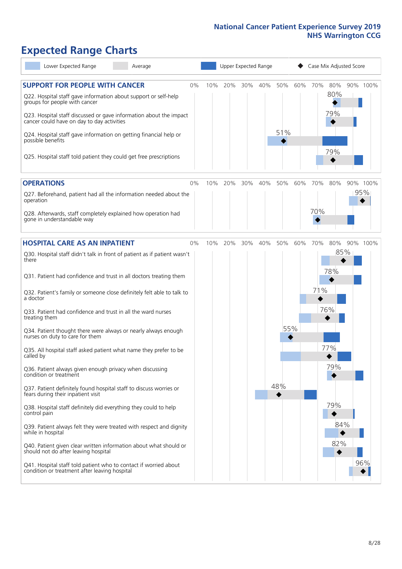### **Expected Range Charts**

| Lower Expected Range<br>Average                                                                                                                                                                                                                                                                                                    |    |     |     | Upper Expected Range |     |            |     | Case Mix Adjusted Score |                   |          |
|------------------------------------------------------------------------------------------------------------------------------------------------------------------------------------------------------------------------------------------------------------------------------------------------------------------------------------|----|-----|-----|----------------------|-----|------------|-----|-------------------------|-------------------|----------|
| <b>SUPPORT FOR PEOPLE WITH CANCER</b><br>Q22. Hospital staff gave information about support or self-help<br>groups for people with cancer<br>Q23. Hospital staff discussed or gave information about the impact<br>cancer could have on day to day activities<br>Q24. Hospital staff gave information on getting financial help or | 0% | 10% | 20% | 30%                  | 40% | 50%<br>51% | 60% | 70%                     | 80%<br>80%<br>79% | 90% 100% |
| possible benefits<br>Q25. Hospital staff told patient they could get free prescriptions                                                                                                                                                                                                                                            |    |     |     |                      |     |            |     |                         | 79%               |          |
| <b>OPERATIONS</b>                                                                                                                                                                                                                                                                                                                  | 0% | 10% | 20% | 30%                  | 40% | 50%        | 60% | 70%                     | 80%               | 90% 100% |
| Q27. Beforehand, patient had all the information needed about the<br>operation<br>Q28. Afterwards, staff completely explained how operation had<br>gone in understandable way                                                                                                                                                      |    |     |     |                      |     |            |     | 70%                     |                   | 95%      |
|                                                                                                                                                                                                                                                                                                                                    |    |     |     |                      |     |            |     |                         |                   |          |
| <b>HOSPITAL CARE AS AN INPATIENT</b>                                                                                                                                                                                                                                                                                               | 0% | 10% | 20% | 30%                  | 40% | 50%        | 60% | 70%                     | 80%               | 90% 100% |
| Q30. Hospital staff didn't talk in front of patient as if patient wasn't<br>there<br>Q31. Patient had confidence and trust in all doctors treating them                                                                                                                                                                            |    |     |     |                      |     |            |     |                         | 85%<br>78%        |          |
| Q32. Patient's family or someone close definitely felt able to talk to<br>a doctor                                                                                                                                                                                                                                                 |    |     |     |                      |     |            |     | 71%                     |                   |          |
| Q33. Patient had confidence and trust in all the ward nurses<br>treating them                                                                                                                                                                                                                                                      |    |     |     |                      |     |            |     |                         | 76%               |          |
| Q34. Patient thought there were always or nearly always enough<br>nurses on duty to care for them                                                                                                                                                                                                                                  |    |     |     |                      |     | 55%        |     |                         |                   |          |
| Q35. All hospital staff asked patient what name they prefer to be<br>called by                                                                                                                                                                                                                                                     |    |     |     |                      |     |            |     |                         | 77%               |          |
| Q36. Patient always given enough privacy when discussing<br>condition or treatment                                                                                                                                                                                                                                                 |    |     |     |                      |     |            |     |                         | 79%               |          |
| Q37. Patient definitely found hospital staff to discuss worries or<br>fears during their inpatient visit                                                                                                                                                                                                                           |    |     |     |                      |     | 48%        |     |                         |                   |          |
| Q38. Hospital staff definitely did everything they could to help<br>control pain                                                                                                                                                                                                                                                   |    |     |     |                      |     |            |     |                         | 79%               |          |
| Q39. Patient always felt they were treated with respect and dignity<br>while in hospital                                                                                                                                                                                                                                           |    |     |     |                      |     |            |     |                         | 84%               |          |
| Q40. Patient given clear written information about what should or<br>should not do after leaving hospital                                                                                                                                                                                                                          |    |     |     |                      |     |            |     |                         | 82%               |          |
| Q41. Hospital staff told patient who to contact if worried about<br>condition or treatment after leaving hospital                                                                                                                                                                                                                  |    |     |     |                      |     |            |     |                         |                   | 96%      |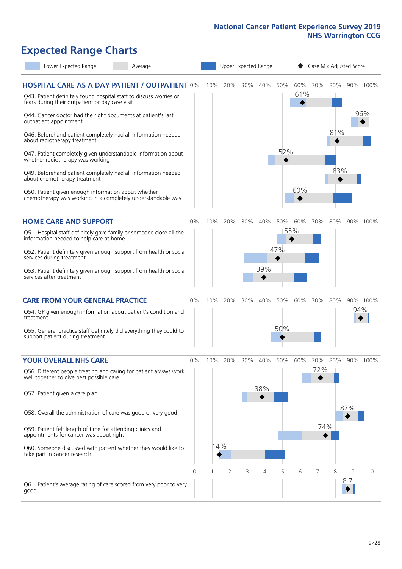## **Expected Range Charts**

| Lower Expected Range<br>Average                                                                                                                                                |          |     | Upper Expected Range |     |         |     |            |     | Case Mix Adjusted Score |          |          |
|--------------------------------------------------------------------------------------------------------------------------------------------------------------------------------|----------|-----|----------------------|-----|---------|-----|------------|-----|-------------------------|----------|----------|
| <b>HOSPITAL CARE AS A DAY PATIENT / OUTPATIENT 0%</b><br>Q43. Patient definitely found hospital staff to discuss worries or<br>fears during their outpatient or day case visit |          | 10% | 20%                  | 30% | 40% 50% |     | 60%<br>61% | 70% | 80%                     | 90% 100% |          |
| Q44. Cancer doctor had the right documents at patient's last<br>outpatient appointment                                                                                         |          |     |                      |     |         |     |            |     |                         |          | 96%      |
| Q46. Beforehand patient completely had all information needed<br>about radiotherapy treatment                                                                                  |          |     |                      |     |         |     |            |     | 81%                     |          |          |
| Q47. Patient completely given understandable information about<br>whether radiotherapy was working                                                                             |          |     |                      |     |         | 52% |            |     |                         |          |          |
| Q49. Beforehand patient completely had all information needed<br>about chemotherapy treatment                                                                                  |          |     |                      |     |         |     |            |     | 83%<br>◆                |          |          |
| Q50. Patient given enough information about whether<br>chemotherapy was working in a completely understandable way                                                             |          |     |                      |     |         |     | 60%        |     |                         |          |          |
| <b>HOME CARE AND SUPPORT</b>                                                                                                                                                   | 0%       | 10% | 20%                  | 30% | 40%     | 50% | 60%        | 70% | 80%                     |          | 90% 100% |
| Q51. Hospital staff definitely gave family or someone close all the<br>information needed to help care at home                                                                 |          |     |                      |     |         |     | 55%        |     |                         |          |          |
| Q52. Patient definitely given enough support from health or social<br>services during treatment                                                                                |          |     |                      |     |         | 47% |            |     |                         |          |          |
| Q53. Patient definitely given enough support from health or social<br>services after treatment                                                                                 |          |     |                      |     | 39%     |     |            |     |                         |          |          |
| <b>CARE FROM YOUR GENERAL PRACTICE</b>                                                                                                                                         | 0%       | 10% | 20%                  | 30% | 40%     | 50% | 60%        | 70% | 80%                     |          | 90% 100% |
| Q54. GP given enough information about patient's condition and<br>treatment                                                                                                    |          |     |                      |     |         |     |            |     |                         | 94%      |          |
| Q55. General practice staff definitely did everything they could to<br>support patient during treatment                                                                        |          |     |                      |     |         | 50% |            |     |                         |          |          |
| <b>YOUR OVERALL NHS CARE</b>                                                                                                                                                   | $0\%$    | 10% | 20%                  | 30% | 40%     | 50% | 60%        | 70% | 80%                     |          | 90% 100% |
| Q56. Different people treating and caring for patient always work<br>well together to give best possible care                                                                  |          |     |                      |     | 38%     |     |            | 72% |                         |          |          |
| Q57. Patient given a care plan                                                                                                                                                 |          |     |                      |     |         |     |            |     |                         | 87%      |          |
| Q58. Overall the administration of care was good or very good                                                                                                                  |          |     |                      |     |         |     |            |     |                         |          |          |
| Q59. Patient felt length of time for attending clinics and<br>appointments for cancer was about right                                                                          |          |     |                      |     |         |     |            | 74% |                         |          |          |
| Q60. Someone discussed with patient whether they would like to<br>take part in cancer research                                                                                 |          | 14% |                      |     |         |     |            |     |                         |          |          |
|                                                                                                                                                                                | $\Omega$ | 1   | $\overline{2}$       | 3   | 4       | 5   | 6          | 7   | 8                       | 9        | 10       |
| Q61. Patient's average rating of care scored from very poor to very<br>good                                                                                                    |          |     |                      |     |         |     |            |     |                         | 8.7      |          |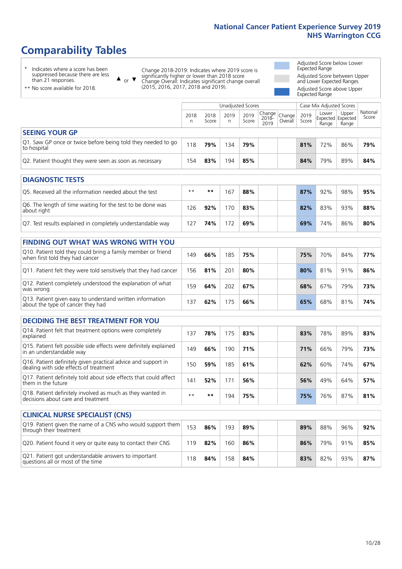### **Comparability Tables**

\* Indicates where a score has been suppressed because there are less than 21 responses.

\*\* No score available for 2018.

 $\triangle$  or  $\nabla$ 

Change 2018-2019: Indicates where 2019 score is significantly higher or lower than 2018 score Change Overall: Indicates significant change overall (2015, 2016, 2017, 2018 and 2019).

Adjusted Score below Lower Expected Range Adjusted Score between Upper and Lower Expected Ranges Adjusted Score above Upper

Expected Range

|                                                                             |           |               | Unadjusted Scores |               |                         |                   |               | Case Mix Adjusted Scores |                                     |                   |
|-----------------------------------------------------------------------------|-----------|---------------|-------------------|---------------|-------------------------|-------------------|---------------|--------------------------|-------------------------------------|-------------------|
|                                                                             | 2018<br>n | 2018<br>Score | 2019<br>n         | 2019<br>Score | Change<br>2018-<br>2019 | Change<br>Overall | 2019<br>Score | Lower<br>Range           | Upper<br>Expected Expected<br>Range | National<br>Score |
| <b>SEEING YOUR GP</b>                                                       |           |               |                   |               |                         |                   |               |                          |                                     |                   |
| Q1. Saw GP once or twice before being told they needed to go<br>to hospital | 118       | 79%           | 134               | 79%           |                         |                   | 81%           | 72%                      | 86%                                 | 79%               |
| Q2. Patient thought they were seen as soon as necessary                     | 154       | 83%           | 194               | 85%           |                         |                   | 84%           | 79%                      | 89%                                 | 84%               |
| <b>DIAGNOSTIC TESTS</b>                                                     |           |               |                   |               |                         |                   |               |                          |                                     |                   |

| O5. Received all the information needed about the test                    | $**$ | **  | 167 | 88% |  | 87% | 92% | 98% | 95% |
|---------------------------------------------------------------------------|------|-----|-----|-----|--|-----|-----|-----|-----|
| Q6. The length of time waiting for the test to be done was<br>about right | 26   | 92% | 170 | 83% |  | 82% | 83% | 93% | 88% |
| Q7. Test results explained in completely understandable way               |      | 74% | 172 | 69% |  | 69% | 74% | 86% | 80% |

| <b>FINDING OUT WHAT WAS WRONG WITH YOU</b>                                                      |     |     |     |     |     |     |     |     |
|-------------------------------------------------------------------------------------------------|-----|-----|-----|-----|-----|-----|-----|-----|
| Q10. Patient told they could bring a family member or friend<br>when first told they had cancer | 149 | 66% | 185 | 75% | 75% | 70% | 84% | 77% |
| Q11. Patient felt they were told sensitively that they had cancer                               | 156 | 81% | 201 | 80% | 80% | 81% | 91% | 86% |
| Q12. Patient completely understood the explanation of what<br>was wrong                         | 159 | 64% | 202 | 67% | 68% | 67% | 79% | 73% |
| Q13. Patient given easy to understand written information<br>about the type of cancer they had  | 137 | 62% | 75  | 66% | 65% | 68% | 81% | 74% |

| <b>DECIDING THE BEST TREATMENT FOR YOU</b>                                                              |      |     |     |     |  |     |     |     |     |
|---------------------------------------------------------------------------------------------------------|------|-----|-----|-----|--|-----|-----|-----|-----|
| Q14. Patient felt that treatment options were completely<br>explained                                   | 137  | 78% | 175 | 83% |  | 83% | 78% | 89% | 83% |
| Q15. Patient felt possible side effects were definitely explained<br>in an understandable way           | 149  | 66% | 190 | 71% |  | 71% | 66% | 79% | 73% |
| Q16. Patient definitely given practical advice and support in<br>dealing with side effects of treatment | 150  | 59% | 185 | 61% |  | 62% | 60% | 74% | 67% |
| Q17. Patient definitely told about side effects that could affect<br>them in the future                 | 141  | 52% | 171 | 56% |  | 56% | 49% | 64% | 57% |
| Q18. Patient definitely involved as much as they wanted in<br>decisions about care and treatment        | $**$ | **  | 194 | 75% |  | 75% | 76% | 87% | 81% |

| <b>CLINICAL NURSE SPECIALIST (CNS)</b>                                                    |     |     |     |     |     |     |     |     |
|-------------------------------------------------------------------------------------------|-----|-----|-----|-----|-----|-----|-----|-----|
| [Q19. Patient given the name of a CNS who would support them<br>through their treatment   | 153 | 86% | 193 | 89% | 89% | 88% | 96% | 92% |
| Q20. Patient found it very or quite easy to contact their CNS                             | 119 | 82% | 160 | 86% | 86% | 79% | 91% | 85% |
| Q21. Patient got understandable answers to important<br>questions all or most of the time | 18  | 84% | 158 | 84% | 83% | 82% | 93% | 87% |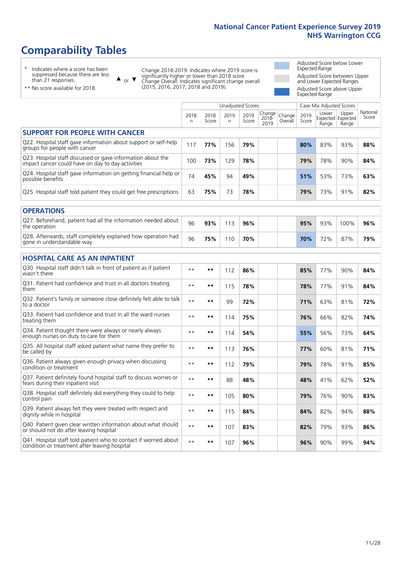### **Comparability Tables**

\* Indicates where a score has been suppressed because there are less than 21 responses.

\*\* No score available for 2018.

 $\triangle$  or  $\nabla$ 

Change 2018-2019: Indicates where 2019 score is significantly higher or lower than 2018 score Change Overall: Indicates significant change overall (2015, 2016, 2017, 2018 and 2019).

Adjusted Score below Lower Expected Range Adjusted Score between Upper and Lower Expected Ranges Adjusted Score above Upper Expected Range

|                                                                                                                   |              |               |            | Unadjusted Scores |                         |                   |               | Case Mix Adjusted Scores |                                     |                   |
|-------------------------------------------------------------------------------------------------------------------|--------------|---------------|------------|-------------------|-------------------------|-------------------|---------------|--------------------------|-------------------------------------|-------------------|
|                                                                                                                   | 2018<br>n    | 2018<br>Score | 2019<br>n. | 2019<br>Score     | Change<br>2018-<br>2019 | Change<br>Overall | 2019<br>Score | Lower<br>Range           | Upper<br>Expected Expected<br>Range | National<br>Score |
| <b>SUPPORT FOR PEOPLE WITH CANCER</b>                                                                             |              |               |            |                   |                         |                   |               |                          |                                     |                   |
| Q22. Hospital staff gave information about support or self-help<br>groups for people with cancer                  | 117          | 77%           | 156        | 79%               |                         |                   | 80%           | 83%                      | 93%                                 | 88%               |
| Q23. Hospital staff discussed or gave information about the<br>impact cancer could have on day to day activities  | 100          | 73%           | 129        | 78%               |                         |                   | 79%           | 78%                      | 90%                                 | 84%               |
| Q24. Hospital staff gave information on getting financial help or<br>possible benefits                            | 74           | 45%           | 94         | 49%               |                         |                   | 51%           | 53%                      | 73%                                 | 63%               |
| Q25. Hospital staff told patient they could get free prescriptions                                                | 63           | 75%           | 73         | 78%               |                         |                   | 79%           | 73%                      | 91%                                 | 82%               |
| <b>OPERATIONS</b>                                                                                                 |              |               |            |                   |                         |                   |               |                          |                                     |                   |
| Q27. Beforehand, patient had all the information needed about<br>the operation                                    | 96           | 93%           | 113        | 96%               |                         |                   | 95%           | 93%                      | 100%                                | 96%               |
| Q28. Afterwards, staff completely explained how operation had<br>gone in understandable way                       | 96           | 75%           | 110        | 70%               |                         |                   | 70%           | 72%                      | 87%                                 | 79%               |
| <b>HOSPITAL CARE AS AN INPATIENT</b>                                                                              |              |               |            |                   |                         |                   |               |                          |                                     |                   |
| Q30. Hospital staff didn't talk in front of patient as if patient<br>wasn't there                                 | $**$         | $***$         | 112        | 86%               |                         |                   | 85%           | 77%                      | 90%                                 | 84%               |
| Q31. Patient had confidence and trust in all doctors treating<br>them                                             | $**$         | **            | 115        | 78%               |                         |                   | 78%           | 77%                      | 91%                                 | 84%               |
| Q32. Patient's family or someone close definitely felt able to talk<br>to a doctor                                | $* *$        | **            | 99         | 72%               |                         |                   | 71%           | 63%                      | 81%                                 | 72%               |
| O33. Patient had confidence and trust in all the ward nurses<br>treating them                                     | $**$         | **            | 114        | 75%               |                         |                   | 76%           | 66%                      | 82%                                 | 74%               |
| Q34. Patient thought there were always or nearly always<br>enough nurses on duty to care for them                 | $**$         | $***$         | 114        | 54%               |                         |                   | 55%           | 56%                      | 73%                                 | 64%               |
| Q35. All hospital staff asked patient what name they prefer to<br>be called by                                    | $* *$        | **            | 113        | 76%               |                         |                   | 77%           | 60%                      | 81%                                 | 71%               |
| Q36. Patient always given enough privacy when discussing<br>condition or treatment                                | $* *$        | $***$         | 112        | 79%               |                         |                   | 79%           | 78%                      | 91%                                 | 85%               |
| Q37. Patient definitely found hospital staff to discuss worries or<br>fears during their inpatient visit          | $* *$        | **            | 88         | 48%               |                         |                   | 48%           | 41%                      | 62%                                 | 52%               |
| Q38. Hospital staff definitely did everything they could to help<br>control pain                                  | $* *$        | **            | 105        | 80%               |                         |                   | 79%           | 76%                      | 90%                                 | 83%               |
| Q39. Patient always felt they were treated with respect and<br>dignity while in hospital                          | $\star\star$ | **            | 115        | 84%               |                         |                   | 84%           | 82%                      | 94%                                 | 88%               |
| Q40. Patient given clear written information about what should<br>or should not do after leaving hospital         | $**$         | **            | 107        | 83%               |                         |                   | 82%           | 79%                      | 93%                                 | 86%               |
| Q41. Hospital staff told patient who to contact if worried about<br>condition or treatment after leaving hospital | $* *$        | **            | 107        | 96%               |                         |                   | 96%           | 90%                      | 99%                                 | 94%               |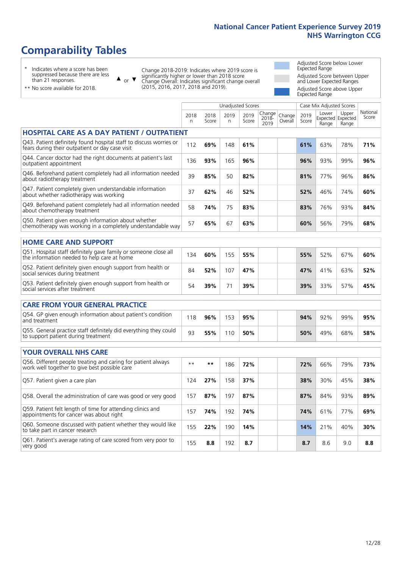### **Comparability Tables**

\* Indicates where a score has been suppressed because there are less than 21 responses.

\*\* No score available for 2018.

 $\triangle$  or  $\nabla$ 

Change 2018-2019: Indicates where 2019 score is significantly higher or lower than 2018 score Change Overall: Indicates significant change overall (2015, 2016, 2017, 2018 and 2019).

Adjusted Score below Lower Expected Range Adjusted Score between Upper and Lower Expected Ranges Adjusted Score above Upper Expected Range

|                                                                                                                       |            |               |            | <b>Unadjusted Scores</b> |                         |                   |               | Case Mix Adjusted Scores |                                     |                   |
|-----------------------------------------------------------------------------------------------------------------------|------------|---------------|------------|--------------------------|-------------------------|-------------------|---------------|--------------------------|-------------------------------------|-------------------|
|                                                                                                                       | 2018<br>n. | 2018<br>Score | 2019<br>n. | 2019<br>Score            | Change<br>2018-<br>2019 | Change<br>Overall | 2019<br>Score | Lower<br>Range           | Upper<br>Expected Expected<br>Range | National<br>Score |
| <b>HOSPITAL CARE AS A DAY PATIENT / OUTPATIENT</b>                                                                    |            |               |            |                          |                         |                   |               |                          |                                     |                   |
| Q43. Patient definitely found hospital staff to discuss worries or<br>fears during their outpatient or day case visit | 112        | 69%           | 148        | 61%                      |                         |                   | 61%           | 63%                      | 78%                                 | 71%               |
| Q44. Cancer doctor had the right documents at patient's last<br>outpatient appointment                                | 136        | 93%           | 165        | 96%                      |                         |                   | 96%           | 93%                      | 99%                                 | 96%               |
| Q46. Beforehand patient completely had all information needed<br>about radiotherapy treatment                         | 39         | 85%           | 50         | 82%                      |                         |                   | 81%           | 77%                      | 96%                                 | 86%               |
| Q47. Patient completely given understandable information<br>about whether radiotherapy was working                    | 37         | 62%           | 46         | 52%                      |                         |                   | 52%           | 46%                      | 74%                                 | 60%               |
| Q49. Beforehand patient completely had all information needed<br>about chemotherapy treatment                         | 58         | 74%           | 75         | 83%                      |                         |                   | 83%           | 76%                      | 93%                                 | 84%               |
| Q50. Patient given enough information about whether<br>chemotherapy was working in a completely understandable way    | 57         | 65%           | 67         | 63%                      |                         |                   | 60%           | 56%                      | 79%                                 | 68%               |
| <b>HOME CARE AND SUPPORT</b>                                                                                          |            |               |            |                          |                         |                   |               |                          |                                     |                   |
| Q51. Hospital staff definitely gave family or someone close all<br>the information needed to help care at home        | 134        | 60%           | 155        | 55%                      |                         |                   | 55%           | 52%                      | 67%                                 | 60%               |
| Q52. Patient definitely given enough support from health or<br>social services during treatment                       | 84         | 52%           | 107        | 47%                      |                         |                   | 47%           | 41%                      | 63%                                 | 52%               |
| Q53. Patient definitely given enough support from health or<br>social services after treatment                        | 54         | 39%           | 71         | 39%                      |                         |                   | 39%           | 33%                      | 57%                                 | 45%               |
| <b>CARE FROM YOUR GENERAL PRACTICE</b>                                                                                |            |               |            |                          |                         |                   |               |                          |                                     |                   |
| Q54. GP given enough information about patient's condition<br>and treatment                                           | 118        | 96%           | 153        | 95%                      |                         |                   | 94%           | 92%                      | 99%                                 | 95%               |
| Q55. General practice staff definitely did everything they could<br>to support patient during treatment               | 93         | 55%           | 110        | 50%                      |                         |                   | 50%           | 49%                      | 68%                                 | 58%               |
| <b>YOUR OVERALL NHS CARE</b>                                                                                          |            |               |            |                          |                         |                   |               |                          |                                     |                   |
| Q56. Different people treating and caring for patient always<br>work well together to give best possible care         | $***$      | $***$         | 186        | 72%                      |                         |                   | 72%           | 66%                      | 79%                                 | 73%               |
| Q57. Patient given a care plan                                                                                        | 124        | 27%           | 158        | 37%                      |                         |                   | 38%           | 30%                      | 45%                                 | 38%               |
| Q58. Overall the administration of care was good or very good                                                         | 157        | 87%           | 197        | 87%                      |                         |                   | 87%           | 84%                      | 93%                                 | 89%               |
| Q59. Patient felt length of time for attending clinics and<br>appointments for cancer was about right                 | 157        | 74%           | 192        | 74%                      |                         |                   | 74%           | 61%                      | 77%                                 | 69%               |
| Q60. Someone discussed with patient whether they would like<br>to take part in cancer research                        | 155        | 22%           | 190        | 14%                      |                         |                   | 14%           | 21%                      | 40%                                 | 30%               |
| Q61. Patient's average rating of care scored from very poor to<br>very good                                           | 155        | 8.8           | 192        | 8.7                      |                         |                   | 8.7           | 8.6                      | 9.0                                 | 8.8               |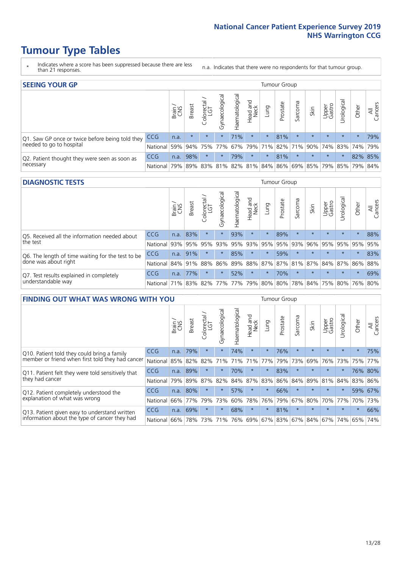### **Tumour Type Tables**

- \* Indicates where a score has been suppressed because there are less than 21 responses.
- n.a. Indicates that there were no respondents for that tumour group.

| <b>SEEING YOUR GP</b>                           |            |       |               |                   |                |                |                  |                 | Tumour Group |         |                                                 |                 |            |         |                |
|-------------------------------------------------|------------|-------|---------------|-------------------|----------------|----------------|------------------|-----------------|--------------|---------|-------------------------------------------------|-----------------|------------|---------|----------------|
|                                                 |            | Brain | <b>Breast</b> | Colorectal<br>LGT | Gynaecological | Haematological | Head and<br>Neck | Dung            | Prostate     | Sarcoma | Skin                                            | Upper<br>Gastro | Jrological | Other   | All<br>Cancers |
| Q1. Saw GP once or twice before being told they | <b>CCG</b> | n.a.  | $\star$       | $\star$           | $\star$        | 71%            | $\star$          | $\star$         | 81%          | $\star$ | $\star$                                         | $\star$         | $\star$    | $\star$ | 79%            |
| needed to go to hospital                        | National   | 59%   |               | 94% 75% 77%       |                |                |                  | 67% 79% 71% 82% |              |         | 71% 90% 74% 83% 74% 79%                         |                 |            |         |                |
| Q2. Patient thought they were seen as soon as   | <b>CCG</b> | n.a.  | 98%           | $\star$           | $\star$        | 79%            | $\star$          | $^\star$        | 81%          | $\star$ | $\star$                                         | $\star$         | $^\star$   | 82% 85% |                |
| necessary                                       | National l | 79%   |               |                   |                |                |                  |                 |              |         | 89% 83% 81% 82% 81% 84% 86% 69% 85% 79% 85% 79% |                 |            |         | 84%            |

#### **DIAGNOSTIC TESTS** Tumour Group

|                                                   |                                          | Brain | Breast | ╮<br>Colorectal | Gynaecological | Haematological | Head and<br>Neck | Lung        | Prostate | Sarcoma                                 | Skin                    | Upper<br>Gastro | Jrological | Other   | All<br>Cancers |
|---------------------------------------------------|------------------------------------------|-------|--------|-----------------|----------------|----------------|------------------|-------------|----------|-----------------------------------------|-------------------------|-----------------|------------|---------|----------------|
| O5. Received all the information needed about     | <b>CCG</b>                               | n.a.  | 83%    |                 |                | 93%            | $\star$          |             | 89%      | $\star$                                 | $\star$                 | $\star$         | $\star$    | $\star$ | 88%            |
| $\vert$ the test                                  | National                                 | 93%   | 95%    | 95%             | 93%            | 95%            |                  | 93% 95% 95% |          | 93%                                     | 96%                     | 95%             | 95%        | 95%     | 95%            |
| Q6. The length of time waiting for the test to be | <b>CCG</b>                               | n.a.  | 91%    |                 | $\star$        | 85%            | $\star$          | $\star$     | 59%      |                                         | $\star$                 | $\star$         | $\star$    | $\star$ | 83%            |
| done was about right                              | National 84% 91% 88%                     |       |        |                 |                |                |                  |             |          | 86% 89% 88% 87% 87% 81% 87% 84% 87% 86% |                         |                 |            |         | 88%            |
| Q7. Test results explained in completely          | <b>CCG</b>                               | n.a.  | 77%    | $\star$         | $\star$        | 52%            | $\star$          | $\star$     | 70%      | $\star$                                 | $\star$                 | $\star$         | $\star$    | $\star$ | 69%            |
| understandable way                                | National 71% 83% 82% 77% 77% 79% 80% 80% |       |        |                 |                |                |                  |             |          |                                         | 78% 84% 75% 80% 76% 80% |                 |            |         |                |

| <b>FINDING OUT WHAT WAS WRONG WITH YOU</b>        |            |       |               |                                  |                |                |                        |             | Tumour Group |         |         |                 |            |         |                |
|---------------------------------------------------|------------|-------|---------------|----------------------------------|----------------|----------------|------------------------|-------------|--------------|---------|---------|-----------------|------------|---------|----------------|
|                                                   |            | Brain | <b>Breast</b> | ╮<br>olorectal.<br>LGT<br>$\cup$ | Gynaecological | Haematological | ad and<br>Neck<br>Head | Lung        | Prostate     | Sarcoma | Skin    | Upper<br>Gastro | Jrological | Other   | All<br>Cancers |
| Q10. Patient told they could bring a family       | <b>CCG</b> | n.a.  | 79%           | $\star$                          | $\star$        | 74%            | $\star$                | $\star$     | 76%          | $\star$ | $\star$ | $\star$         | $\star$    | $\star$ | 75%            |
| member or friend when first told they had cancer  | National   | 85%   | 82%           | 82%                              | 71%            | 71%            | 71%                    | 77%         | 79%          | 73%     | 69%     | 76%             | 73%        | 75%     | 77%            |
| Q11. Patient felt they were told sensitively that | <b>CCG</b> | n.a.  | 89%           | $\star$                          | $\star$        | 70%            | $\star$                | $\star$     | 83%          | $\star$ | $\star$ | $\star$         | $^\star$   |         | 76% 80%        |
| they had cancer                                   | National   | 79%   | 89%           | 87%                              | 82%            |                | 84% 87%                | 83%         | 86%          | 84%     | 89%     |                 | 81% 84%    | 83%     | 86%            |
| Q12. Patient completely understood the            | <b>CCG</b> | n.a.  | 80%           | $\star$                          |                | 57%            | $\ast$                 | $\star$     | 66%          | $\star$ | $\star$ | $\star$         | $\star$    | 59%     | 67%            |
| explanation of what was wrong                     | National   | 66%   | 77%           | 79%                              | 73%            | 60%            | 78%                    | 76%         | 79%          | 67%     | 80%     | 70%             | 77%        | 70%     | 73%            |
| Q13. Patient given easy to understand written     | <b>CCG</b> | n.a.  | 69%           | $\star$                          | $\star$        | 68%            | $\star$                | $\star$     | 81%          | $\star$ | $\star$ | $\star$         | $\star$    | $\star$ | 66%            |
| information about the type of cancer they had     | National   | 66%   | 78%           | 73%                              | 71%            | 76%            |                        | 69% 67% 83% |              |         | 67% 84% | 67%             | 74%        | 65%     | 74%            |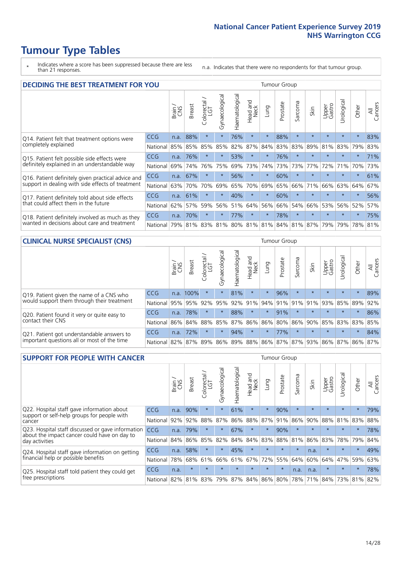### **Tumour Type Tables**

- \* Indicates where a score has been suppressed because there are less than 21 responses.
- n.a. Indicates that there were no respondents for that tumour group.

| <b>DECIDING THE BEST TREATMENT FOR YOU</b>         |            |       |               |                     |                |                |                         |         | Tumour Group                |         |         |                 |            |             |                |
|----------------------------------------------------|------------|-------|---------------|---------------------|----------------|----------------|-------------------------|---------|-----------------------------|---------|---------|-----------------|------------|-------------|----------------|
|                                                    |            | Brain | <b>Breast</b> | Colorectal /<br>LGT | Gynaecological | Haematological | ead and<br>Neck<br>Head | Lung    | Prostate                    | Sarcoma | Skin    | Upper<br>Gastro | Urological | Other       | All<br>Cancers |
| Q14. Patient felt that treatment options were      | <b>CCG</b> | n.a.  | 88%           | $\star$             | $\star$        | 76%            | $\star$                 | $\star$ | 88%                         | $\star$ | $\star$ | $\star$         | $\star$    | $\star$     | 83%            |
| completely explained                               | National   | 85%   | 85%           | 85%                 | 85%            | 82%            | 87%                     | 84%     | 83%                         | 83%     | 89%     | 81%             | 83%        | 79%         | 83%            |
| Q15. Patient felt possible side effects were       | CCG        | n.a.  | 76%           |                     |                | 53%            | $\star$                 | $\star$ | 76%                         | $\star$ |         | $\star$         | $\star$    | $\star$     | 71%            |
| definitely explained in an understandable way      | National   | 69%   | 74%           | 76%                 | 75%            | 69%            | 73%                     | 74%     | 73%                         | 73%     | 77%     | 72%             | 71%        | 70%         | 73%            |
| Q16. Patient definitely given practical advice and | CCG        | n.a.  | 67%           | $\star$             | $\star$        | 56%            | $\star$                 | $\star$ | 60%                         | $\star$ |         | $\star$         | $\star$    | $\star$     | 61%            |
| support in dealing with side effects of treatment  | National   | 63%   | 70%           | 70%                 | 69%            | 65%            | 70%                     | 69%     | 65%                         | 66%     | 71%     | 66%             | 63%        | 64%         | 67%            |
| Q17. Patient definitely told about side effects    | CCG        | n.a.  | 61%           | $\star$             | $\star$        | 40%            | $\star$                 | $\star$ | 60%                         | $\star$ |         | $\star$         | $\star$    | $\star$     | 56%            |
| that could affect them in the future               | National   | 62%   | 57%           | 59%                 | 56%            | 51%            | 64%                     | 56%     | 66%                         | 54%     | 66%     | 53%             | 56%        | 52%         | 57%            |
| Q18. Patient definitely involved as much as they   | CCG        | n.a.  | 70%           |                     | $\star$        | 77%            | $\star$                 | $\star$ | 78%                         | $\star$ | $\star$ | $\star$         | $\star$    | $\star$     | 75%            |
| wanted in decisions about care and treatment       | National   | 79%   | 81%           | 83%                 | 81%            |                |                         |         | 80% 81% 81% 84% 81% 87% 79% |         |         |                 |            | 79% 78% 81% |                |

#### **CLINICAL NURSE SPECIALIST (CNS)** Tumour Group

|                                             |            | Brain | <b>Breast</b> | Colorectal<br>LGT | $\sigma$<br>Gynaecologic | Haematological | Head and<br>Neck | Lung    | Prostate | Sarcoma | Skin                        | Upper<br>Gastro | Urologica       | Other   | All<br>Cancers |
|---------------------------------------------|------------|-------|---------------|-------------------|--------------------------|----------------|------------------|---------|----------|---------|-----------------------------|-----------------|-----------------|---------|----------------|
| Q19. Patient given the name of a CNS who    | <b>CCG</b> | n.a.  | 100%          |                   |                          | 81%            | $\star$          | $\star$ | 96%      | $\star$ | $\star$                     | $\star$         | $\star$         | $\star$ | 89%            |
| would support them through their treatment  | National   | 95%   | 95%           | 92%               | 95%                      | 92%            | 91%              | 94%     | 91%      | 91%     | 91%                         | 93%             | 85%             | 89%     | 92%            |
| Q20. Patient found it very or quite easy to | <b>CCG</b> | n.a.  | 78%           |                   |                          | 88%            | $\star$          | $\star$ | 91%      |         | $\star$                     | $\star$         | $\star$         | $\star$ | 86%            |
| contact their CNS                           | National   | 86%   | 84%           | 88%               | 85%                      |                | 87% 86% 86%      |         | 80%      | 86%     | 90%                         | 85%             | 83% 83% 85%     |         |                |
| Q21. Patient got understandable answers to  | <b>CCG</b> | n.a.  | 72%           | $\star$           | $\star$                  | 94%            | $\star$          | $\star$ | 77%      | $\star$ | $\star$                     | $\star$         | $\star$         | $\star$ | 84%            |
| important questions all or most of the time | National   | 82%   | 87%           | 89%               |                          |                |                  |         |          |         | 86% 89% 88% 86% 87% 87% 93% |                 | 86% 87% 86% 87% |         |                |

| <b>SUPPORT FOR PEOPLE WITH CANCER</b>                                                             |            |       |               |                 |                |                |                         |         | <b>Tumour Group</b> |              |         |                 |            |         |                |
|---------------------------------------------------------------------------------------------------|------------|-------|---------------|-----------------|----------------|----------------|-------------------------|---------|---------------------|--------------|---------|-----------------|------------|---------|----------------|
|                                                                                                   |            | Brain | <b>Breast</b> | ╮<br>Colorectal | Gynaecological | Haematological | ead and<br>Neck<br>Head | Lung    | Prostate            | arcoma<br>ιñ | Skin    | Upper<br>Gastro | Urological | Other   | All<br>Cancers |
| Q22. Hospital staff gave information about<br>support or self-help groups for people with         | CCG        | n.a.  | 90%           | $\star$         | $\star$        | 61%            | $\star$                 | $\star$ | 90%                 | $\star$      | $\star$ | $\star$         | $\star$    | $\star$ | 79%            |
| cancer                                                                                            | National   | 92%   | 92%           | 88%             | 87%            | 86%            | 88%                     | 87%     | 91%                 | 86%          | 90%     | 88%             | 81%        | 83%     | 88%            |
| Q23. Hospital staff discussed or gave information<br>about the impact cancer could have on day to | <b>CCG</b> | n.a.  | 79%           | $\star$         | $\star$        | 67%            | $\star$                 | $\star$ | 90%                 | $\star$      | $\star$ | $\star$         | $\star$    | $\star$ | 78%            |
| day activities                                                                                    | National   | 84%   | 86%           | 85%             | 82%            | 84%            | 84%                     | 83%     | 88%                 | 81%          | 86%     | 83%             | 78%        | 79%     | 84%            |
| Q24. Hospital staff gave information on getting                                                   | <b>CCG</b> | n.a.  | 58%           | $\star$         | $\star$        | 45%            | $\star$                 | $\star$ | $\star$             | $\star$      | n.a.    | $\star$         | $\star$    | $\ast$  | 49%            |
| financial help or possible benefits                                                               | National   | 78%   | 68%           | 61%             | 66%            | 61%            | 67%                     | 72%     | 55%                 | 64%          | 60%     | 64%             | 47%        | 59%     | 63%            |
| Q25. Hospital staff told patient they could get                                                   | CCG        | n.a.  | $\star$       | $\star$         |                |                | $\star$                 | $\star$ | $\star$             | n.a.         | n.a.    | $\star$         | $\star$    | $\star$ | 78%            |
| free prescriptions                                                                                | National   | 82%   | 81%           | 83%             | 79%            | 87%            | 84%                     | 86%     | 80%                 | 78%          | 71%     | 84%             | 73%        | 81%     | 82%            |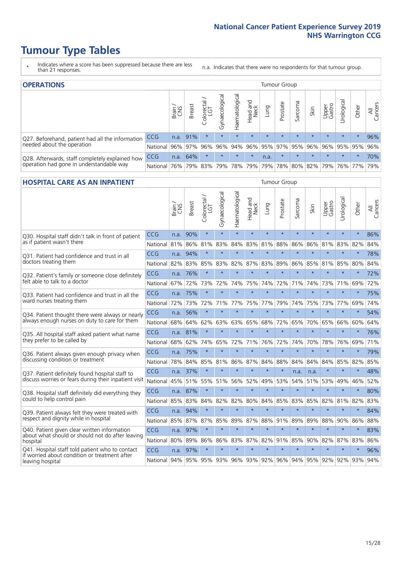### **Tumour Type Tables**

- \* Indicates where a score has been suppressed because there are less than 21 responses.
- n.a. Indicates that there were no respondents for that tumour group.

| <b>OPERATIONS</b>                                |              |       |               |            |                |                               |                  |         | Tumour Group            |         |         |                 |                                  |           |                |
|--------------------------------------------------|--------------|-------|---------------|------------|----------------|-------------------------------|------------------|---------|-------------------------|---------|---------|-----------------|----------------------------------|-----------|----------------|
|                                                  |              | Brain | <b>Breast</b> | Colorectal | Gynaecological | $\overline{3}$<br>Haematologi | Head and<br>Neck | Lung    | Prostate                | Sarcoma | Skin    | Upper<br>Gastro | $\overline{\sigma}$<br>Jrologica | Other     | All<br>Cancers |
| Q27. Beforehand, patient had all the information | <b>CCG</b>   | n.a.  | 91%           |            | $\star$        | $\star$                       | $\star$          | $\star$ | $\star$                 | $\star$ | $\star$ | $\star$         | $\star$                          | $\star$   | 96%            |
| needed about the operation                       | National 96% |       |               | 97% 96%    | 96%            |                               |                  |         | 94% 96% 95% 97% 95% 96% |         |         |                 | 96% 95% 95%                      |           | 96%            |
| Q28. Afterwards, staff completely explained how  | <b>CCG</b>   | n.a.  | 64%           |            | $\star$        | $\star$                       | $\star$          | n.a.    | $\star$                 | $\star$ | $\star$ | $\star$         | $\star$                          | $\star$   | 70%            |
| operation had gone in understandable way         | National     | 76%   |               | 79% 83%    |                | 79%   78%   79%               |                  |         | 79% 78% 80% 82% 79%     |         |         |                 |                                  | 76%   77% | 79%            |

#### **HOSPITAL CARE AS AN INPATIENT** Tumour Group

|                                                                                                   |            | Brain | Breast              | Colorectal /<br>LGT | Gynaecological | Haematological | Head and<br>Neck | Lung    | Prostate | Sarcoma | Skin                | Upper<br>Gastro | Urological | Other   | All<br>Cancers |
|---------------------------------------------------------------------------------------------------|------------|-------|---------------------|---------------------|----------------|----------------|------------------|---------|----------|---------|---------------------|-----------------|------------|---------|----------------|
| Q30. Hospital staff didn't talk in front of patient                                               | CCG        | n.a.  | 90%                 | $\star$             | $\star$        | $\star$        | $\star$          | $\star$ | $\star$  | $\star$ | $\star$             | $\star$         | $\star$    | $\star$ | 86%            |
| as if patient wasn't there                                                                        | National   | 81%   | 86%                 | 81%                 | 83%            | 84%            | 83%              | 81%     | 88%      | 86%     | 86%                 | 81%             | 83%        | 82%     | 84%            |
| Q31. Patient had confidence and trust in all<br>doctors treating them                             | CCG        | n.a.  | 94%                 | $\star$             | $\star$        | $\star$        | $\star$          | $\star$ | $\star$  | $\star$ | $\star$             | $\star$         | $\star$    | $\star$ | 78%            |
|                                                                                                   | National   | 82%   | 83%                 | 85%                 | 83%            | 82%            |                  | 87% 83% | 89%      | 86%     | 85%                 | 81%             | 85%        | 80%     | 84%            |
| Q32. Patient's family or someone close definitely                                                 | CCG        | n.a.  | 76%                 | $\star$             | $\star$        | $\star$        | $\star$          | $\star$ | $\star$  | $\star$ | $\star$             | $\star$         | $\star$    | $\star$ | 72%            |
| felt able to talk to a doctor                                                                     | National   | 67%   | 72%                 | 73%                 | 72%            | 74%            | 75%              | 74%     | 72%      | 71%     | 74%                 | 73%             | 71%        | 69%     | 72%            |
| Q33. Patient had confidence and trust in all the<br>ward nurses treating them                     | CCG        | n.a.  | 75%                 | $\star$             | $\star$        | $\star$        | $\star$          | $\star$ | $\star$  | $\star$ | $\star$             | $\star$         | $\star$    | $\star$ | 75%            |
|                                                                                                   | National   | 72%   | 73%                 | 72%                 |                | 71% 77%        | 75%              | 77%     | 79%      | 74%     | 75%                 | 73%             | 77%        | 69%     | 74%            |
| Q34. Patient thought there were always or nearly<br>always enough nurses on duty to care for them | CCG        | n.a.  | 56%                 | $\star$             | $\star$        | $\star$        | $\star$          | $\star$ | $\star$  | $\star$ | $\star$             |                 | $\star$    | $\star$ | 54%            |
|                                                                                                   | National   | 68%   | 64%                 | 62%                 | 63%            | 63%            | 65%              | 68%     | 72%      | 65%     | 70%                 | 65%             | 66%        | 60%     | 64%            |
| Q35. All hospital staff asked patient what name<br>they prefer to be called by                    | CCG        | n.a.  | 81%                 | $\star$             | $\star$        | $\star$        | $\star$          | $\star$ | $\star$  | $\star$ | $\star$             | $\star$         | $\star$    | $\star$ | 76%            |
|                                                                                                   | National   | 68%   | 62%                 | 74%                 | 65%            | 72%            | 71%              | 76%     | 72%      | 74%     | 70%                 | 78%             | 76%        | 69%     | 71%            |
| Q36. Patient always given enough privacy when                                                     | CCG        | n.a.  | 75%                 | $\star$             | $\star$        | $\star$        | $\star$          | $\star$ | $\star$  | $\star$ | $\star$             | $\star$         | $\star$    | $\star$ | 79%            |
| discussing condition or treatment                                                                 | National   | 78%   | 84%                 | 85%                 | 81%            | 86%            |                  | 87% 84% | 88%      | 84%     | 84%                 | 84%             | 85%        | 82%     | 85%            |
| Q37. Patient definitely found hospital staff to                                                   | <b>CCG</b> | n.a.  | 37%                 | $\star$             | $\star$        | $\star$        | $\star$          | $\star$ | $\star$  | n.a.    | n.a.                | $\star$         | $\star$    | $\star$ | 48%            |
| discuss worries or fears during their inpatient visit                                             | National   | 45%   | 51%                 | 55%                 |                | 51% 56%        | 52%              | 49%     | 53%      | 54%     | 51%                 |                 | 53% 49%    | 46%     | 52%            |
| Q38. Hospital staff definitely did everything they                                                | CCG        | n.a.  | 87%                 | $\star$             | $\star$        | $\star$        | $\star$          | $\star$ | $\star$  | $\star$ | $\star$             | $\star$         | $\star$    | $\star$ | 80%            |
| could to help control pain                                                                        | National   | 85%   | 83%                 | 84%                 | 82%            | 82%            | 80%              | 84%     | 85%      | 83%     | 85%                 | 82%             | 81%        | 82%     | 83%            |
| Q39. Patient always felt they were treated with                                                   | CCG        | n.a.  | 94%                 | $\star$             | $\star$        | $\star$        | $\star$          | $\star$ | $\star$  | $\star$ | $\star$             | $\star$         | $\star$    | $\star$ | 84%            |
| respect and dignity while in hospital                                                             | National   | 85%   | 87%                 | 87%                 | 85%            | 89%            |                  | 87% 88% | 91%      | 89%     | 89%                 | 88%             | 90%        | 86%     | 88%            |
| Q40. Patient given clear written information<br>about what should or should not do after leaving  | CCG        | n.a.  | 97%                 | $\star$             | $\star$        | $\star$        | $\star$          | $\star$ | $\star$  | $\star$ | $\star$             | $\star$         | $\star$    | $\star$ | 83%            |
| hospital                                                                                          | National   | 80%   | 89%                 | 86%                 | 86%            | 83%            |                  | 87% 82% | 91%      | 85%     | 90%                 | 82%             | 87%        | 83%     | 86%            |
| Q41. Hospital staff told patient who to contact<br>if worried about condition or treatment after  | CCG        | n.a.  | 97%                 | $\star$             | $\star$        | $\star$        | $\star$          | $\star$ | $\star$  | $\star$ | $\star$             | $\star$         | $\star$    | $\star$ | 96%            |
| leaving hospital                                                                                  | National   |       | 94% 95% 95% 93% 96% |                     |                |                |                  | 93% 92% |          |         | 96% 94% 95% 92% 92% |                 |            | 93%     | 94%            |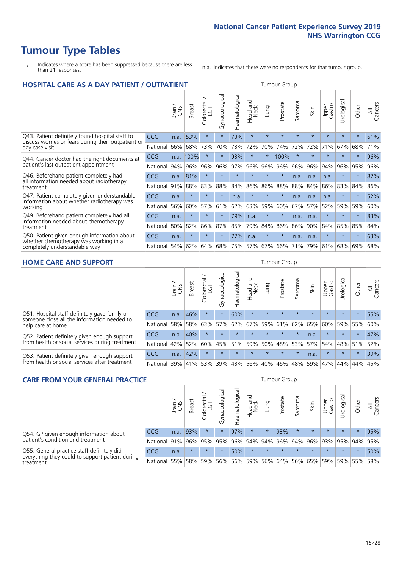### **Tumour Type Tables**

- \* Indicates where a score has been suppressed because there are less than 21 responses.
- n.a. Indicates that there were no respondents for that tumour group.

| <b>HOSPITAL CARE AS A DAY PATIENT / OUTPATIENT</b>                                                                    |            |       |               |            |                |                |                        | <b>Tumour Group</b> |          |                          |         |                 |            |         |                |  |
|-----------------------------------------------------------------------------------------------------------------------|------------|-------|---------------|------------|----------------|----------------|------------------------|---------------------|----------|--------------------------|---------|-----------------|------------|---------|----------------|--|
|                                                                                                                       |            | Brain | <b>Breast</b> | Colorectal | Gynaecological | Haematological | ad and<br>Neck<br>Head | Lung                | Prostate | arcoma<br>$\overline{ }$ | Skin    | Upper<br>Gastro | Urological | Other   | All<br>Cancers |  |
| Q43. Patient definitely found hospital staff to                                                                       | CCG        | n.a.  | 53%           | $\star$    | $\star$        | 73%            | $\star$                | $\star$             | $\star$  | $\star$                  | $\star$ | $\star$         | $\star$    | $\star$ | 61%            |  |
| discuss worries or fears during their outpatient or<br>day case visit                                                 | National   | 66%   | 68%           | 73%        | 70%            | 73%            | 72%                    | 70%                 | 74%      | 72%                      | 72%     | 71%             | 67%        | 68%     | 71%            |  |
| Q44. Cancer doctor had the right documents at<br>patient's last outpatient appointment                                | <b>CCG</b> | n.a.  | 100%          | $\star$    | $\star$        | 93%            | $\star$                | $\star$             | 100%     | $\star$                  |         | $\star$         | $\star$    | $\star$ | 96%            |  |
|                                                                                                                       | National   | 94%   | 96%           | 96%        | 96%            | 97%            | 96%                    | 96%                 | 96%      | 96%                      | 96%     | 94%             | 96%        | 95%     | 96%            |  |
| Q46. Beforehand patient completely had<br>all information needed about radiotherapy                                   | CCG        | n.a.  | 81%           | $\star$    |                |                | ÷                      | $\star$             | $\star$  | n.a.                     | n.a.    | n.a.            | $\star$    | $\ast$  | 82%            |  |
| treatment                                                                                                             | National   | 91%   | 88%           | 83%        | 88%            | 84%            | 86%                    | 86%                 | 88%      | 88%                      | 84%     | 86%             | 83%        | 84%     | 86%            |  |
| Q47. Patient completely given understandable                                                                          | CCG        | n.a.  | $\star$       | $\star$    | $\star$        | n.a.           | $\star$                | $\star$             | $\star$  | n.a.                     | n.a.    | n.a.            | $\star$    | $\star$ | 52%            |  |
| information about whether radiotherapy was<br>working                                                                 | National   | 56%   | 60%           | 57%        | 61%            | 62%            | 63%                    | 59%                 | 60%      | 67%                      | 57%     | 52%             | 59%        | 59%     | 60%            |  |
| Q49. Beforehand patient completely had all                                                                            | CCG        | n.a.  | $\star$       | $\star$    |                | 79%            | n.a.                   | $\star$             | $\star$  | n.a.                     | n.a.    | $\star$         | $\star$    | $\ast$  | 83%            |  |
| information needed about chemotherapy<br>treatment                                                                    | National   | 80%   | 82%           | 86%        | 87%            | 85%            | 79%                    | 84%                 | 86%      | 86%                      | 90%     | 84%             | 85%        | 85%     | 84%            |  |
| Q50. Patient given enough information about<br>whether chemotherapy was working in a<br>completely understandable way | <b>CCG</b> | n.a.  | $\star$       | $\star$    | $\star$        | 77%            | n.a.                   | $\star$             | $\star$  | n.a.                     | n.a.    | $\star$         | $\star$    | $\star$ | 63%            |  |
|                                                                                                                       | National   | 54%   | 62%           | 64%        | 68%            | 75%            |                        | 57% 67%             | 66%      | 71%                      | 79%     | 61%             | 68%        | 69%     | 68%            |  |

#### **HOME CARE AND SUPPORT** Tumour Group

|                                                                                                                   |            | Brain | <b>Breast</b> | olorectal<br>LGT<br>Ũ | ᢛ<br>Gynaecologic | Haematological | ad and<br>Neck<br>Head | <b>Dung</b> | Prostate | Sarcoma | Skin    | Upper<br>Gastro | Urological | Other   | All<br>Cancers |
|-------------------------------------------------------------------------------------------------------------------|------------|-------|---------------|-----------------------|-------------------|----------------|------------------------|-------------|----------|---------|---------|-----------------|------------|---------|----------------|
| Q51. Hospital staff definitely gave family or<br>someone close all the information needed to<br>help care at home | <b>CCG</b> | n.a.  | 46%           |                       | $\star$           | 60%            | $\star$                | $\star$     | $\star$  | $\star$ | $\star$ | $\star$         | $\star$    | $\star$ | 55%            |
|                                                                                                                   | National   | 58%   | 58%           | 63%                   | 57%               | 62%            | 67%                    |             | 59% 61%  |         | 62% 65% | 60%             | 59% 55%    |         | 60%            |
| Q52. Patient definitely given enough support<br>from health or social services during treatment                   | <b>CCG</b> | n.a.  | 40%           |                       | $\star$           | $\star$        | $\star$                | $\star$     | $\star$  | $\star$ | n.a.    | $\star$         | $\star$    | $\star$ | 47%            |
|                                                                                                                   | National   | 42%   | 52%           | 60%                   |                   | 45% 51%        | 59%                    | 50%         | 48%      |         | 53% 57% | 54%             | 48% 51%    |         | 52%            |
| Q53. Patient definitely given enough support<br>from health or social services after treatment                    | CCG        | n.a.  | 42%           |                       | $\star$           |                | $\star$                | $\star$     | $\star$  | $\star$ | n.a.    | $\star$         | $\star$    | $\star$ | 39%            |
|                                                                                                                   | National   | 39%   | 41% 53%       |                       | 39%               | 43%            | 56%                    | 40%         | 46%      | 48%     | 59%     | 47%             | 44%        | 44%     | 45%            |

| <b>CARE FROM YOUR GENERAL PRACTICE</b>                                                                     |              |               |               |                   |                | Tumour Group   |                                     |         |          |         |         |                 |            |                 |                |
|------------------------------------------------------------------------------------------------------------|--------------|---------------|---------------|-------------------|----------------|----------------|-------------------------------------|---------|----------|---------|---------|-----------------|------------|-----------------|----------------|
|                                                                                                            |              | Brain.<br>CNS | <b>Breast</b> | Colorectal<br>LGT | Gynaecological | Haematological | Head and<br>Neck                    | Lung    | Prostate | Sarcoma | Skin    | Upper<br>Gastro | Urological | Other           | All<br>Cancers |
| Q54. GP given enough information about<br>patient's condition and treatment                                | <b>CCG</b>   | n.a.          | 93%           | $\star$           | $\star$        | 97%            | $\star$                             | $\star$ | 93%      | $\star$ | $\star$ | $\star$         | $\star$    | $\star$         | 95%            |
|                                                                                                            | National 91% |               |               | 96% 95%           | 95%            |                | 96% 94% 94% 96% 94% 96% 93% 95% 94% |         |          |         |         |                 |            |                 | 95%            |
| Q55. General practice staff definitely did<br>everything they could to support patient during<br>treatment | <b>CCG</b>   | n.a.          | $\star$       | $\star$           | $\star$        | 50%            | $\star$                             | $\star$ | $\star$  | $\star$ | $\star$ | $\star$         | $\star$    | $\star$         | 50%            |
|                                                                                                            | National 55% |               |               | 58% 59%           | 56%            |                | 56% 59% 56% 64%                     |         |          |         | 56% 65% |                 |            | 59%   59%   55% | 58%            |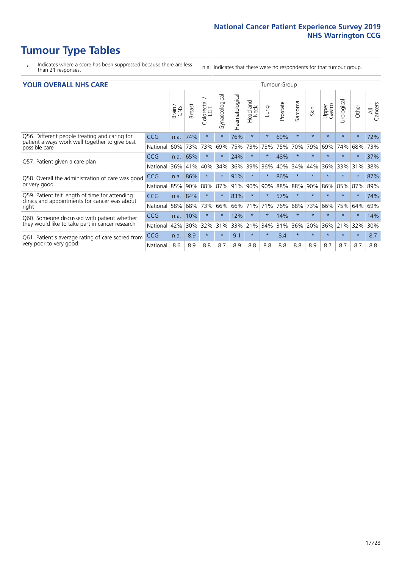### **Tumour Type Tables**

- \* Indicates where a score has been suppressed because there are less than 21 responses.
- n.a. Indicates that there were no respondents for that tumour group.

#### **YOUR OVERALL NHS CARE** THE CONSTRUCTION OF THE THROUP GROUP TUMOUR GROUP

| I YUN YENAEL NI IYOANE                                                                                           |            |       |               |                            |                |                |                         | iamoar oroap |          |         |         |                 |               |         |                |
|------------------------------------------------------------------------------------------------------------------|------------|-------|---------------|----------------------------|----------------|----------------|-------------------------|--------------|----------|---------|---------|-----------------|---------------|---------|----------------|
|                                                                                                                  |            | Brain | <b>Breast</b> | ∽<br>olorectal<br>LGT<br>Ū | Gynaecological | Haematological | aad and<br>Neck<br>Head | Lung         | Prostate | Sarcoma | Skin    | Upper<br>Gastro | ී<br>Urologic | Other   | All<br>Cancers |
| Q56. Different people treating and caring for<br>patient always work well together to give best<br>possible care | <b>CCG</b> | n.a.  | 74%           | $\star$                    |                | 76%            | $\star$                 | $\star$      | 69%      | $\star$ | $\star$ | $\star$         | $\star$       | $\star$ | 72%            |
|                                                                                                                  | National   | 60%   | 73%           | 73%                        | 69%            | 75%            | 73%                     | 73%          | 75%      | 70%     | 79%     | 69%             | 74%           | 68%     | 73%            |
| Q57. Patient given a care plan                                                                                   | <b>CCG</b> | n.a.  | 65%           | $\star$                    |                | 24%            | $\star$                 | $\star$      | 48%      | $\star$ | $\star$ | $\star$         |               | $\ast$  | 37%            |
|                                                                                                                  | National   | 36%   | 41%           | 40%                        | 34%            | 36%            | 39%                     | 36%          | 40%      | 34%     | 44%     | 36%             | 33%           | 31%     | 38%            |
| Q58. Overall the administration of care was good                                                                 | <b>CCG</b> | n.a.  | 86%           |                            |                | 91%            | $\ast$                  |              | 86%      | $\star$ |         |                 |               | $\star$ | 87%            |
| or very good                                                                                                     | National   | 85%   | 90%           | 88%                        | 87%            | 91%            | 90%                     | 90%          | 88%      | 88%     | 90%     | 86%             | 85%           | 87%     | 89%            |
| Q59. Patient felt length of time for attending<br>clinics and appointments for cancer was about                  | <b>CCG</b> | n.a.  | 84%           | $\star$                    |                | 83%            | $\star$                 | $\star$      | 57%      | $\star$ | $\star$ | $\star$         | $\star$       | $\star$ | 74%            |
| right                                                                                                            | National   | 58%   | 68%           | 73%                        | 66%            | 66%            | 71%                     | 71%          | 76%      | 68%     | 73%     | 66%             | 75%           | 64%     | 69%            |
| Q60. Someone discussed with patient whether                                                                      | <b>CCG</b> | n.a.  | 10%           | $\star$                    |                | 12%            | $\star$                 | $\star$      | 14%      | $\star$ | $\star$ |                 |               | $\star$ | 14%            |
| they would like to take part in cancer research                                                                  | National   | 42%   | 30%           | 32%                        | 31%            | 33%            | 21%                     | 34%          | 31%      | 36%     | 20%     | 36%             | 21%           | 32%     | 30%            |
| Q61. Patient's average rating of care scored from<br>very poor to very good                                      | <b>CCG</b> | n.a.  | 8.9           | $\star$                    | $\star$        | 9.1            | $\star$                 | $\star$      | 8.4      | $\star$ | $\star$ | $\star$         | $\star$       | $\star$ | 8.7            |
|                                                                                                                  | National   | 8.6   | 8.9           | 8.8                        | 8.7            | 8.9            | 8.8                     | 8.8          | 8.8      | 8.8     | 8.9     | 8.7             | 8.7           | 8.7     | 8.8            |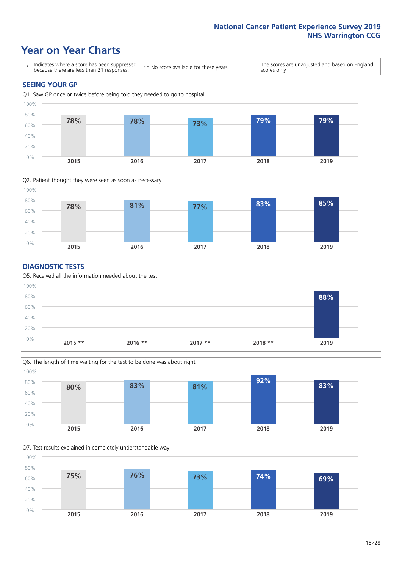### **Year on Year Charts**





#### **DIAGNOSTIC TESTS**





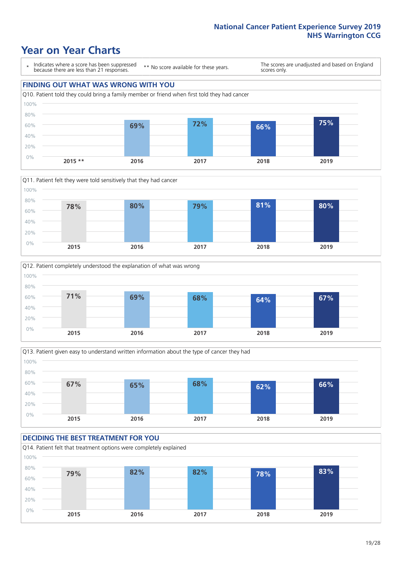### **Year on Year Charts**

\* Indicates where a score has been suppressed because there are less than 21 responses.

\*\* No score available for these years.

The scores are unadjusted and based on England scores only.









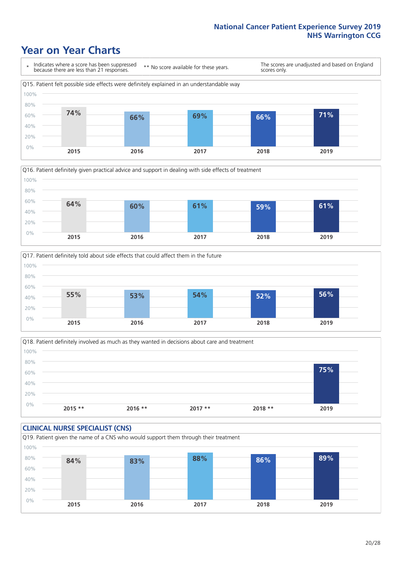### **Year on Year Charts**







Q18. Patient definitely involved as much as they wanted in decisions about care and treatment  $0%$ 20% 40% 60% 80% 100% **2015 \*\* 2016 \*\* 2017 \*\* 2018 \*\* 2019 75%**

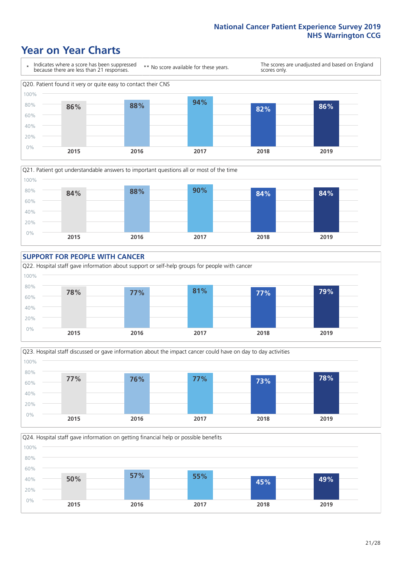### **Year on Year Charts**









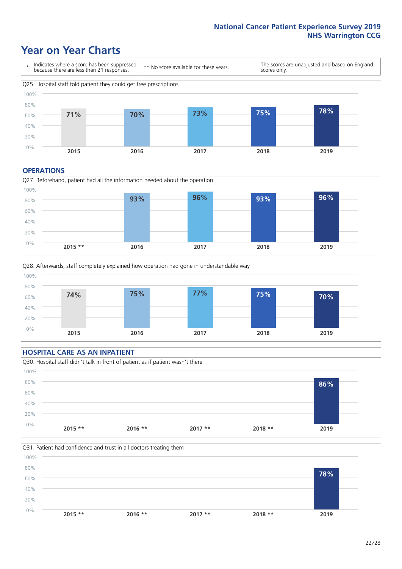### **Year on Year Charts**



#### **OPERATIONS**





#### **HOSPITAL CARE AS AN INPATIENT** Q30. Hospital staff didn't talk in front of patient as if patient wasn't there 0% 20% 40% 60% 80% 100% **2015 \*\* 2016 \*\* 2017 \*\* 2018 \*\* 2019 86%**

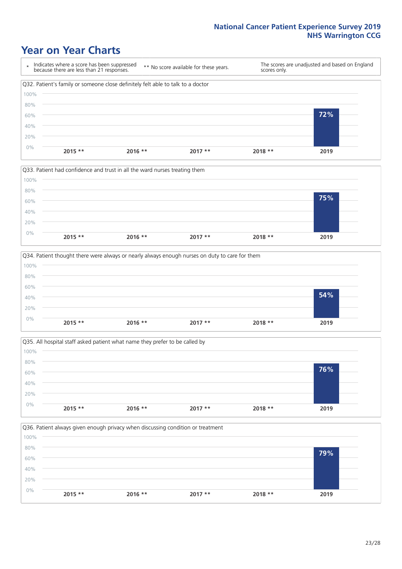### **Year on Year Charts**









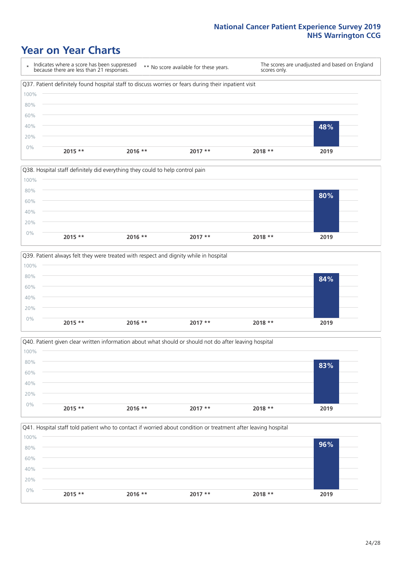### **Year on Year Charts**

\* Indicates where a score has been suppressed because there are less than 21 responses. \*\* No score available for these years. The scores are unadjusted and based on England scores only. Q37. Patient definitely found hospital staff to discuss worries or fears during their inpatient visit 0% 20% 40% 60% 80% 100% **2015 \*\* 2016 \*\* 2017 \*\* 2018 \*\* 2019 48%**







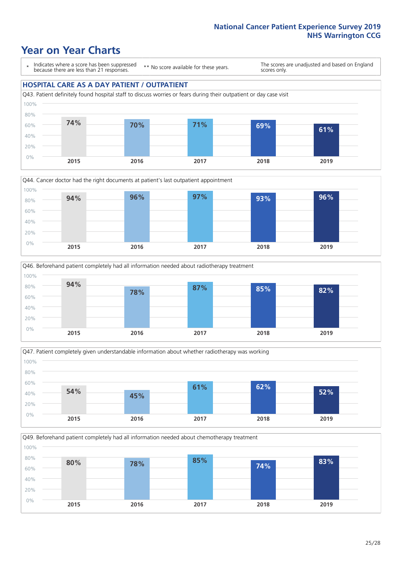### **Year on Year Charts**

\* Indicates where a score has been suppressed because there are less than 21 responses.

\*\* No score available for these years.

The scores are unadjusted and based on England scores only.

#### **HOSPITAL CARE AS A DAY PATIENT / OUTPATIENT**









Q49. Beforehand patient completely had all information needed about chemotherapy treatment

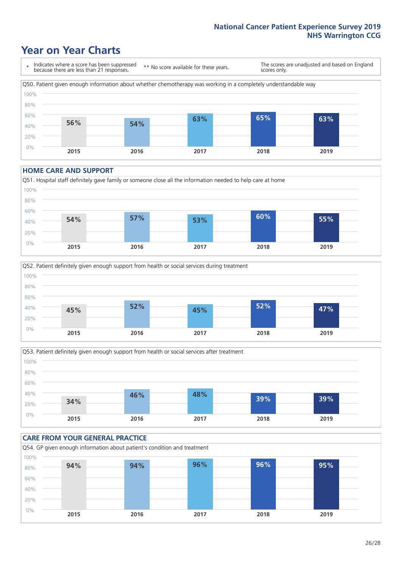### **Year on Year Charts**

\* Indicates where a score has been suppressed because there are less than 21 responses. \*\* No score available for these years. The scores are unadjusted and based on England scores only. Q50. Patient given enough information about whether chemotherapy was working in a completely understandable way 0% 20% 40% 60% 80% 100% **2015 2016 2017 2018 2019 56% 54% 63% 65% 63%**

#### **HOME CARE AND SUPPORT**







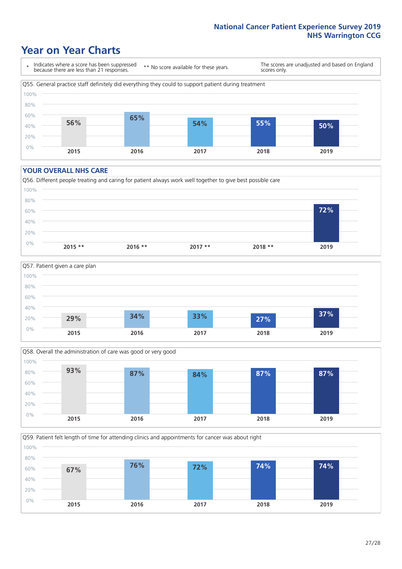### **Year on Year Charts**

\* Indicates where a score has been suppressed because there are less than 21 responses.

\*\* No score available for these years.

The scores are unadjusted and based on England scores only.



#### **YOUR OVERALL NHS CARE**







Q59. Patient felt length of time for attending clinics and appointments for cancer was about right 100%